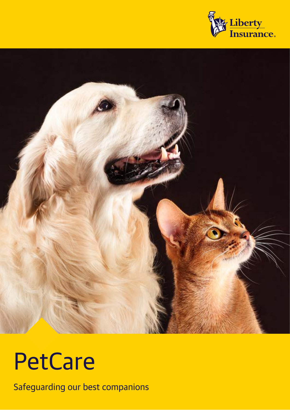



# **PetCare**

Safeguarding our best companions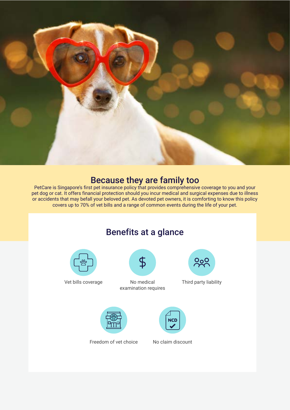

#### Because they are family too

PetCare is Singapore's first pet insurance policy that provides comprehensive coverage to you and your pet dog or cat. It offers financial protection should you incur medical and surgical expenses due to illness or accidents that may befall your beloved pet. As devoted pet owners, it is comforting to know this policy covers up to 70% of vet bills and a range of common events during the life of your pet.

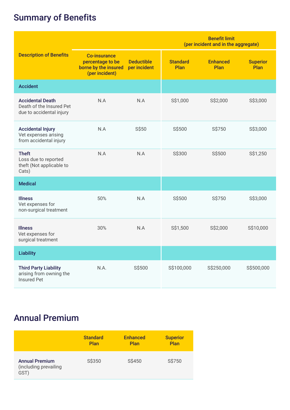## Summary of Benefits

|                                                                                 |                                                                                   |                                   | <b>Benefit limit</b><br>(per incident and in the aggregate) |                         |                         |
|---------------------------------------------------------------------------------|-----------------------------------------------------------------------------------|-----------------------------------|-------------------------------------------------------------|-------------------------|-------------------------|
| <b>Description of Benefits</b>                                                  | <b>Co-insurance</b><br>percentage to be<br>borne by the insured<br>(per incident) | <b>Deductible</b><br>per incident | <b>Standard</b><br>Plan                                     | <b>Enhanced</b><br>Plan | <b>Superior</b><br>Plan |
| <b>Accident</b>                                                                 |                                                                                   |                                   |                                                             |                         |                         |
| <b>Accidental Death</b><br>Death of the Insured Pet<br>due to accidental injury | N.A                                                                               | N.A                               | S\$1,000                                                    | S\$2,000                | S\$3,000                |
| <b>Accidental Injury</b><br>Vet expenses arising<br>from accidental injury      | N.A                                                                               | S\$50                             | S\$500                                                      | S\$750                  | S\$3,000                |
| <b>Theft</b><br>Loss due to reported<br>theft (Not applicable to<br>Cats)       | N.A                                                                               | N.A                               | S\$300                                                      | S\$500                  | S\$1,250                |
| <b>Medical</b>                                                                  |                                                                                   |                                   |                                                             |                         |                         |
| <b>Illness</b><br>Vet expenses for<br>non-surgical treatment                    | 50%                                                                               | N.A                               | S\$500                                                      | S\$750                  | S\$3,000                |
| <b>Illness</b><br>Vet expenses for<br>surgical treatment                        | 30%                                                                               | N.A                               | S\$1,500                                                    | S\$2,000                | S\$10,000               |
| <b>Liability</b>                                                                |                                                                                   |                                   |                                                             |                         |                         |
| <b>Third Party Liability</b><br>arising from owning the<br><b>Insured Pet</b>   | N.A.                                                                              | S\$500                            | S\$100,000                                                  | S\$250,000              | S\$500,000              |

## Annual Premium

|                                                        | <b>Standard</b> | <b>Enhanced</b> | <b>Superior</b> |
|--------------------------------------------------------|-----------------|-----------------|-----------------|
|                                                        | Plan            | Plan            | Plan            |
| <b>Annual Premium</b><br>(including prevailing<br>GST) | S\$350          | S\$450          | S\$750          |